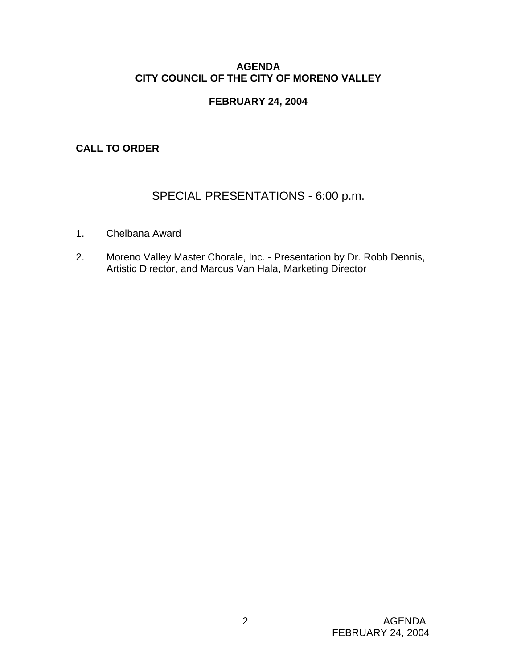# **AGENDA CITY COUNCIL OF THE CITY OF MORENO VALLEY**

# **FEBRUARY 24, 2004**

# **CALL TO ORDER**

# SPECIAL PRESENTATIONS - 6:00 p.m.

- 1. Chelbana Award
- 2. Moreno Valley Master Chorale, Inc. Presentation by Dr. Robb Dennis, Artistic Director, and Marcus Van Hala, Marketing Director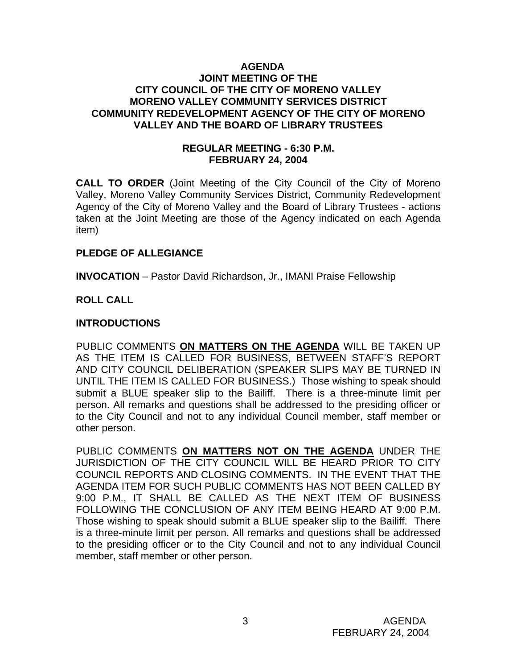#### **AGENDA JOINT MEETING OF THE CITY COUNCIL OF THE CITY OF MORENO VALLEY MORENO VALLEY COMMUNITY SERVICES DISTRICT COMMUNITY REDEVELOPMENT AGENCY OF THE CITY OF MORENO VALLEY AND THE BOARD OF LIBRARY TRUSTEES**

# **REGULAR MEETING - 6:30 P.M. FEBRUARY 24, 2004**

**CALL TO ORDER** (Joint Meeting of the City Council of the City of Moreno Valley, Moreno Valley Community Services District, Community Redevelopment Agency of the City of Moreno Valley and the Board of Library Trustees - actions taken at the Joint Meeting are those of the Agency indicated on each Agenda item)

# **PLEDGE OF ALLEGIANCE**

**INVOCATION** – Pastor David Richardson, Jr., IMANI Praise Fellowship

# **ROLL CALL**

# **INTRODUCTIONS**

PUBLIC COMMENTS **ON MATTERS ON THE AGENDA** WILL BE TAKEN UP AS THE ITEM IS CALLED FOR BUSINESS, BETWEEN STAFF'S REPORT AND CITY COUNCIL DELIBERATION (SPEAKER SLIPS MAY BE TURNED IN UNTIL THE ITEM IS CALLED FOR BUSINESS.) Those wishing to speak should submit a BLUE speaker slip to the Bailiff. There is a three-minute limit per person. All remarks and questions shall be addressed to the presiding officer or to the City Council and not to any individual Council member, staff member or other person.

PUBLIC COMMENTS **ON MATTERS NOT ON THE AGENDA** UNDER THE JURISDICTION OF THE CITY COUNCIL WILL BE HEARD PRIOR TO CITY COUNCIL REPORTS AND CLOSING COMMENTS. IN THE EVENT THAT THE AGENDA ITEM FOR SUCH PUBLIC COMMENTS HAS NOT BEEN CALLED BY 9:00 P.M., IT SHALL BE CALLED AS THE NEXT ITEM OF BUSINESS FOLLOWING THE CONCLUSION OF ANY ITEM BEING HEARD AT 9:00 P.M. Those wishing to speak should submit a BLUE speaker slip to the Bailiff. There is a three-minute limit per person. All remarks and questions shall be addressed to the presiding officer or to the City Council and not to any individual Council member, staff member or other person.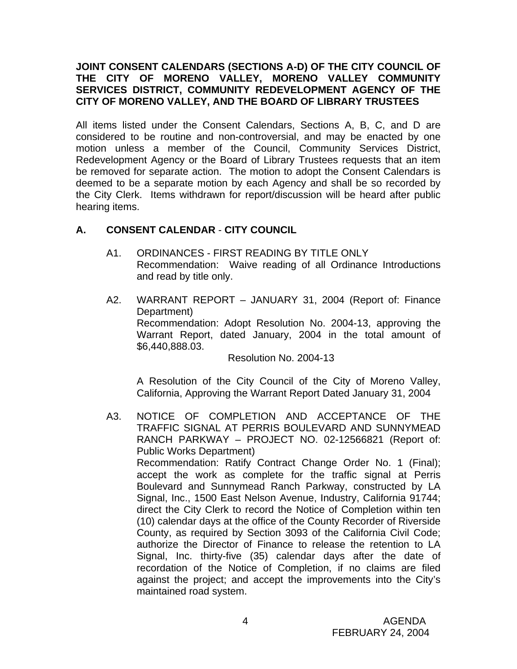# **JOINT CONSENT CALENDARS (SECTIONS A-D) OF THE CITY COUNCIL OF THE CITY OF MORENO VALLEY, MORENO VALLEY COMMUNITY SERVICES DISTRICT, COMMUNITY REDEVELOPMENT AGENCY OF THE CITY OF MORENO VALLEY, AND THE BOARD OF LIBRARY TRUSTEES**

All items listed under the Consent Calendars, Sections A, B, C, and D are considered to be routine and non-controversial, and may be enacted by one motion unless a member of the Council, Community Services District, Redevelopment Agency or the Board of Library Trustees requests that an item be removed for separate action. The motion to adopt the Consent Calendars is deemed to be a separate motion by each Agency and shall be so recorded by the City Clerk. Items withdrawn for report/discussion will be heard after public hearing items.

# **A. CONSENT CALENDAR** - **CITY COUNCIL**

- A1. ORDINANCES FIRST READING BY TITLE ONLY Recommendation: Waive reading of all Ordinance Introductions and read by title only.
- A2. WARRANT REPORT JANUARY 31, 2004 (Report of: Finance Department) Recommendation: Adopt Resolution No. 2004-13, approving the Warrant Report, dated January, 2004 in the total amount of \$6,440,888.03.

Resolution No. 2004-13

 A Resolution of the City Council of the City of Moreno Valley, California, Approving the Warrant Report Dated January 31, 2004

A3. NOTICE OF COMPLETION AND ACCEPTANCE OF THE TRAFFIC SIGNAL AT PERRIS BOULEVARD AND SUNNYMEAD RANCH PARKWAY – PROJECT NO. 02-12566821 (Report of: Public Works Department) Recommendation: Ratify Contract Change Order No. 1 (Final); accept the work as complete for the traffic signal at Perris Boulevard and Sunnymead Ranch Parkway, constructed by LA Signal, Inc., 1500 East Nelson Avenue, Industry, California 91744; direct the City Clerk to record the Notice of Completion within ten (10) calendar days at the office of the County Recorder of Riverside County, as required by Section 3093 of the California Civil Code; authorize the Director of Finance to release the retention to LA Signal, Inc. thirty-five (35) calendar days after the date of recordation of the Notice of Completion, if no claims are filed against the project; and accept the improvements into the City's maintained road system.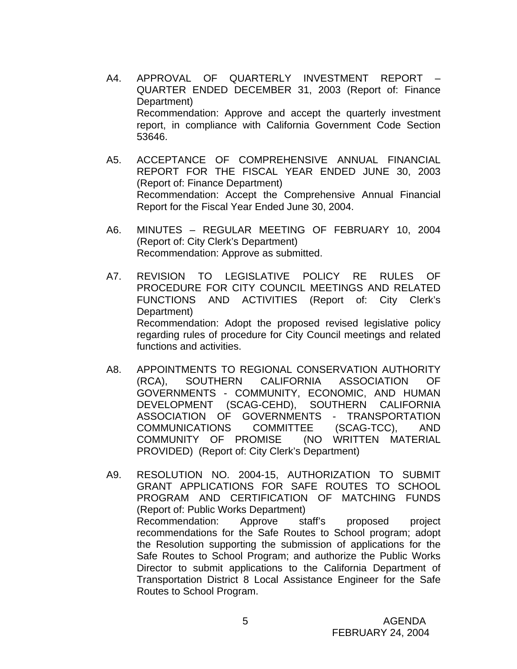- A4. APPROVAL OF QUARTERLY INVESTMENT REPORT QUARTER ENDED DECEMBER 31, 2003 (Report of: Finance Department) Recommendation: Approve and accept the quarterly investment report, in compliance with California Government Code Section 53646.
- A5. ACCEPTANCE OF COMPREHENSIVE ANNUAL FINANCIAL REPORT FOR THE FISCAL YEAR ENDED JUNE 30, 2003 (Report of: Finance Department) Recommendation: Accept the Comprehensive Annual Financial Report for the Fiscal Year Ended June 30, 2004.
- A6. MINUTES REGULAR MEETING OF FEBRUARY 10, 2004 (Report of: City Clerk's Department) Recommendation: Approve as submitted.
- A7. REVISION TO LEGISLATIVE POLICY RE RULES OF PROCEDURE FOR CITY COUNCIL MEETINGS AND RELATED FUNCTIONS AND ACTIVITIES (Report of: City Clerk's Department) Recommendation: Adopt the proposed revised legislative policy regarding rules of procedure for City Council meetings and related functions and activities.
- A8. APPOINTMENTS TO REGIONAL CONSERVATION AUTHORITY (RCA), SOUTHERN CALIFORNIA ASSOCIATION OF GOVERNMENTS - COMMUNITY, ECONOMIC, AND HUMAN DEVELOPMENT (SCAG-CEHD), SOUTHERN CALIFORNIA ASSOCIATION OF GOVERNMENTS - TRANSPORTATION COMMUNICATIONS COMMITTEE (SCAG-TCC), AND COMMUNITY OF PROMISE (NO WRITTEN MATERIAL PROVIDED) (Report of: City Clerk's Department)
- A9. RESOLUTION NO. 2004-15, AUTHORIZATION TO SUBMIT GRANT APPLICATIONS FOR SAFE ROUTES TO SCHOOL PROGRAM AND CERTIFICATION OF MATCHING FUNDS (Report of: Public Works Department) Recommendation: Approve staff's proposed project recommendations for the Safe Routes to School program; adopt the Resolution supporting the submission of applications for the Safe Routes to School Program; and authorize the Public Works Director to submit applications to the California Department of Transportation District 8 Local Assistance Engineer for the Safe Routes to School Program.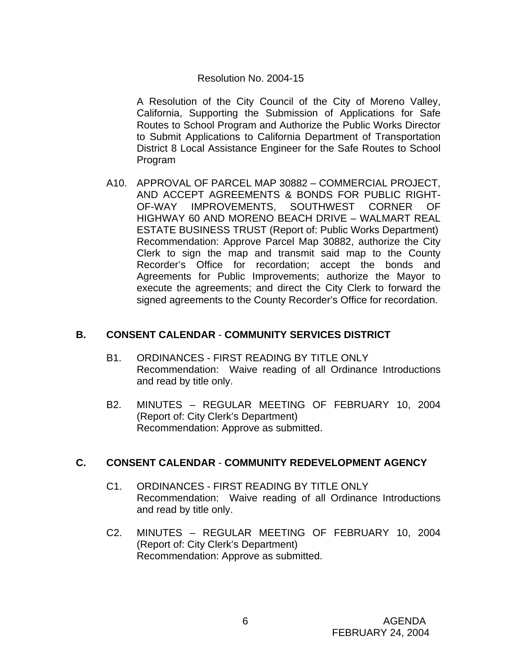# Resolution No. 2004-15

 A Resolution of the City Council of the City of Moreno Valley, California, Supporting the Submission of Applications for Safe Routes to School Program and Authorize the Public Works Director to Submit Applications to California Department of Transportation District 8 Local Assistance Engineer for the Safe Routes to School Program

A10. APPROVAL OF PARCEL MAP 30882 – COMMERCIAL PROJECT, AND ACCEPT AGREEMENTS & BONDS FOR PUBLIC RIGHT-OF-WAY IMPROVEMENTS, SOUTHWEST CORNER OF HIGHWAY 60 AND MORENO BEACH DRIVE – WALMART REAL ESTATE BUSINESS TRUST (Report of: Public Works Department) Recommendation: Approve Parcel Map 30882, authorize the City Clerk to sign the map and transmit said map to the County Recorder's Office for recordation; accept the bonds and Agreements for Public Improvements; authorize the Mayor to execute the agreements; and direct the City Clerk to forward the signed agreements to the County Recorder's Office for recordation.

# **B. CONSENT CALENDAR** - **COMMUNITY SERVICES DISTRICT**

- B1. ORDINANCES FIRST READING BY TITLE ONLY Recommendation: Waive reading of all Ordinance Introductions and read by title only.
- B2. MINUTES REGULAR MEETING OF FEBRUARY 10, 2004 (Report of: City Clerk's Department) Recommendation: Approve as submitted.

# **C. CONSENT CALENDAR** - **COMMUNITY REDEVELOPMENT AGENCY**

- C1. ORDINANCES FIRST READING BY TITLE ONLY Recommendation: Waive reading of all Ordinance Introductions and read by title only.
- C2. MINUTES REGULAR MEETING OF FEBRUARY 10, 2004 (Report of: City Clerk's Department) Recommendation: Approve as submitted.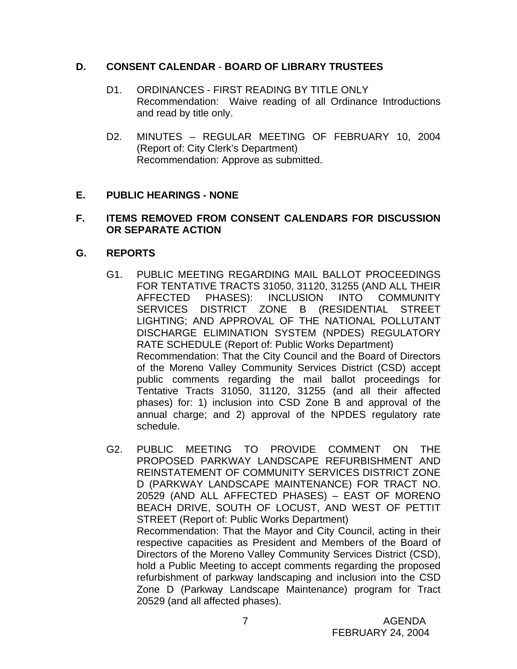# **D. CONSENT CALENDAR** - **BOARD OF LIBRARY TRUSTEES**

- D1. ORDINANCES FIRST READING BY TITLE ONLY Recommendation: Waive reading of all Ordinance Introductions and read by title only.
- D2. MINUTES REGULAR MEETING OF FEBRUARY 10, 2004 (Report of: City Clerk's Department) Recommendation: Approve as submitted.

# **E. PUBLIC HEARINGS - NONE**

#### **F. ITEMS REMOVED FROM CONSENT CALENDARS FOR DISCUSSION OR SEPARATE ACTION**

# **G. REPORTS**

- G1. PUBLIC MEETING REGARDING MAIL BALLOT PROCEEDINGS FOR TENTATIVE TRACTS 31050, 31120, 31255 (AND ALL THEIR AFFECTED PHASES): INCLUSION INTO COMMUNITY SERVICES DISTRICT ZONE B (RESIDENTIAL STREET LIGHTING; AND APPROVAL OF THE NATIONAL POLLUTANT DISCHARGE ELIMINATION SYSTEM (NPDES) REGULATORY RATE SCHEDULE (Report of: Public Works Department) Recommendation: That the City Council and the Board of Directors of the Moreno Valley Community Services District (CSD) accept public comments regarding the mail ballot proceedings for Tentative Tracts 31050, 31120, 31255 (and all their affected phases) for: 1) inclusion into CSD Zone B and approval of the annual charge; and 2) approval of the NPDES regulatory rate schedule.
- G2. PUBLIC MEETING TO PROVIDE COMMENT ON THE PROPOSED PARKWAY LANDSCAPE REFURBISHMENT AND REINSTATEMENT OF COMMUNITY SERVICES DISTRICT ZONE D (PARKWAY LANDSCAPE MAINTENANCE) FOR TRACT NO. 20529 (AND ALL AFFECTED PHASES) – EAST OF MORENO BEACH DRIVE, SOUTH OF LOCUST, AND WEST OF PETTIT STREET (Report of: Public Works Department) Recommendation: That the Mayor and City Council, acting in their respective capacities as President and Members of the Board of Directors of the Moreno Valley Community Services District (CSD), hold a Public Meeting to accept comments regarding the proposed refurbishment of parkway landscaping and inclusion into the CSD Zone D (Parkway Landscape Maintenance) program for Tract 20529 (and all affected phases).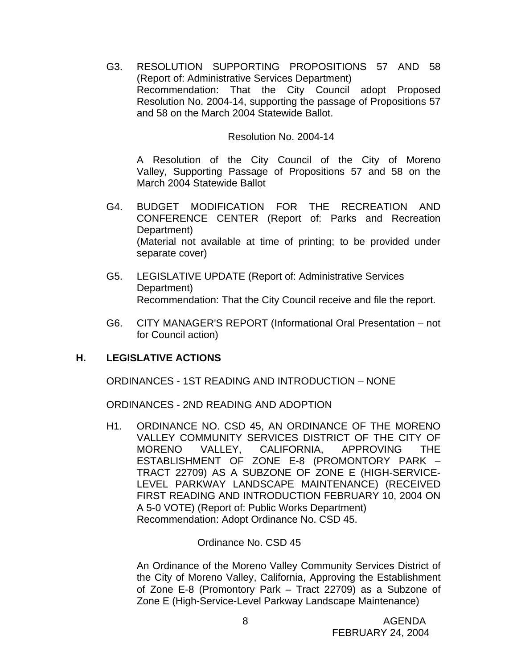G3. RESOLUTION SUPPORTING PROPOSITIONS 57 AND 58 (Report of: Administrative Services Department) Recommendation: That the City Council adopt Proposed Resolution No. 2004-14, supporting the passage of Propositions 57 and 58 on the March 2004 Statewide Ballot.

#### Resolution No. 2004-14

A Resolution of the City Council of the City of Moreno Valley, Supporting Passage of Propositions 57 and 58 on the March 2004 Statewide Ballot

- G4. BUDGET MODIFICATION FOR THE RECREATION AND CONFERENCE CENTER (Report of: Parks and Recreation Department) (Material not available at time of printing; to be provided under separate cover)
- G5. LEGISLATIVE UPDATE (Report of: Administrative Services Department) Recommendation: That the City Council receive and file the report.
- G6. CITY MANAGER'S REPORT (Informational Oral Presentation not for Council action)

# **H. LEGISLATIVE ACTIONS**

ORDINANCES - 1ST READING AND INTRODUCTION – NONE

ORDINANCES - 2ND READING AND ADOPTION

H1. ORDINANCE NO. CSD 45, AN ORDINANCE OF THE MORENO VALLEY COMMUNITY SERVICES DISTRICT OF THE CITY OF MORENO VALLEY, CALIFORNIA, APPROVING THE ESTABLISHMENT OF ZONE E-8 (PROMONTORY PARK – TRACT 22709) AS A SUBZONE OF ZONE E (HIGH-SERVICE-LEVEL PARKWAY LANDSCAPE MAINTENANCE) (RECEIVED FIRST READING AND INTRODUCTION FEBRUARY 10, 2004 ON A 5-0 VOTE) (Report of: Public Works Department) Recommendation: Adopt Ordinance No. CSD 45.

# Ordinance No. CSD 45

An Ordinance of the Moreno Valley Community Services District of the City of Moreno Valley, California, Approving the Establishment of Zone E-8 (Promontory Park – Tract 22709) as a Subzone of Zone E (High-Service-Level Parkway Landscape Maintenance)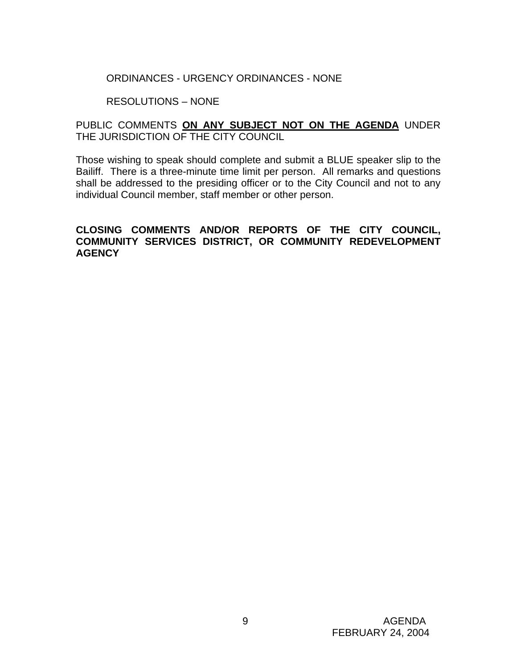# ORDINANCES - URGENCY ORDINANCES - NONE

#### RESOLUTIONS – NONE

# PUBLIC COMMENTS **ON ANY SUBJECT NOT ON THE AGENDA** UNDER THE JURISDICTION OF THE CITY COUNCIL

Those wishing to speak should complete and submit a BLUE speaker slip to the Bailiff. There is a three-minute time limit per person. All remarks and questions shall be addressed to the presiding officer or to the City Council and not to any individual Council member, staff member or other person.

# **CLOSING COMMENTS AND/OR REPORTS OF THE CITY COUNCIL, COMMUNITY SERVICES DISTRICT, OR COMMUNITY REDEVELOPMENT AGENCY**